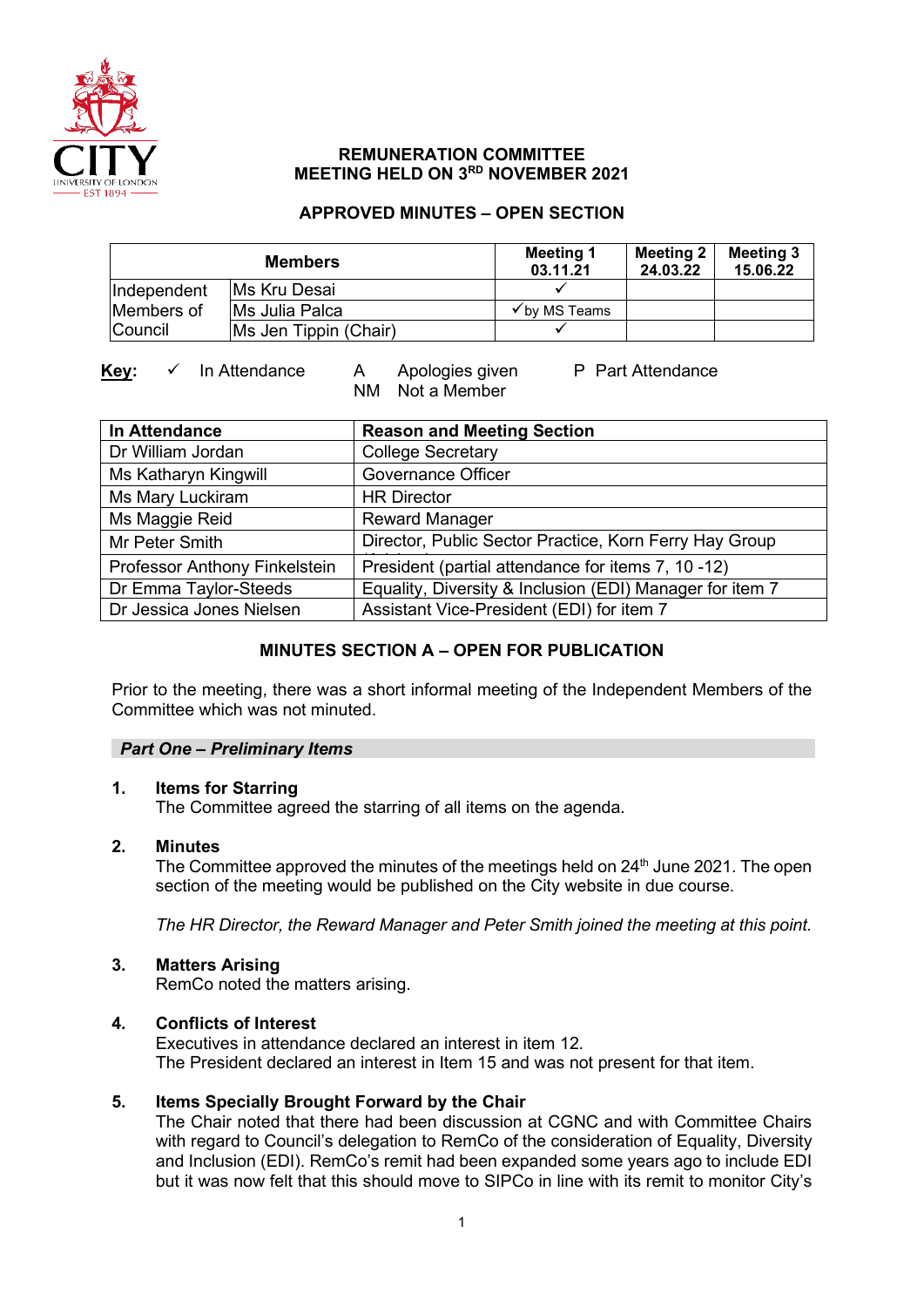

## **REMUNERATION COMMITTEE MEETING HELD ON 3RD NOVEMBER 2021**

## **APPROVED MINUTES – OPEN SECTION**

| <b>Members</b> |                       | <b>Meeting 1</b><br>03.11.21 | <b>Meeting 2</b><br>24.03.22 | <b>Meeting 3</b><br>15.06.22 |
|----------------|-----------------------|------------------------------|------------------------------|------------------------------|
| Independent    | <b>IMs Kru Desai</b>  |                              |                              |                              |
| Members of     | Ms Julia Palca        | $\checkmark$ by MS Teams     |                              |                              |
| <b>Council</b> | Ms Jen Tippin (Chair) |                              |                              |                              |

## Key: ✓ In Attendance A Apologies given P Part Attendance

NM Not a Member

| <b>In Attendance</b>          | <b>Reason and Meeting Section</b>                        |  |  |
|-------------------------------|----------------------------------------------------------|--|--|
| Dr William Jordan             | <b>College Secretary</b>                                 |  |  |
| Ms Katharyn Kingwill          | <b>Governance Officer</b>                                |  |  |
| Ms Mary Luckiram              | <b>HR Director</b>                                       |  |  |
| Ms Maggie Reid                | <b>Reward Manager</b>                                    |  |  |
| Mr Peter Smith                | Director, Public Sector Practice, Korn Ferry Hay Group   |  |  |
| Professor Anthony Finkelstein | President (partial attendance for items 7, 10 -12)       |  |  |
| Dr Emma Taylor-Steeds         | Equality, Diversity & Inclusion (EDI) Manager for item 7 |  |  |
| Dr Jessica Jones Nielsen      | Assistant Vice-President (EDI) for item 7                |  |  |

## **MINUTES SECTION A – OPEN FOR PUBLICATION**

Prior to the meeting, there was a short informal meeting of the Independent Members of the Committee which was not minuted.

## *Part One – Preliminary Items*

## **1. Items for Starring**

The Committee agreed the starring of all items on the agenda.

## **2. Minutes**

The Committee approved the minutes of the meetings held on 24<sup>th</sup> June 2021. The open section of the meeting would be published on the City website in due course.

*The HR Director, the Reward Manager and Peter Smith joined the meeting at this point.* 

## **3. Matters Arising**

RemCo noted the matters arising.

## **4. Conflicts of Interest**

Executives in attendance declared an interest in item 12. The President declared an interest in Item 15 and was not present for that item.

## **5. Items Specially Brought Forward by the Chair**

The Chair noted that there had been discussion at CGNC and with Committee Chairs with regard to Council's delegation to RemCo of the consideration of Equality, Diversity and Inclusion (EDI). RemCo's remit had been expanded some years ago to include EDI but it was now felt that this should move to SIPCo in line with its remit to monitor City's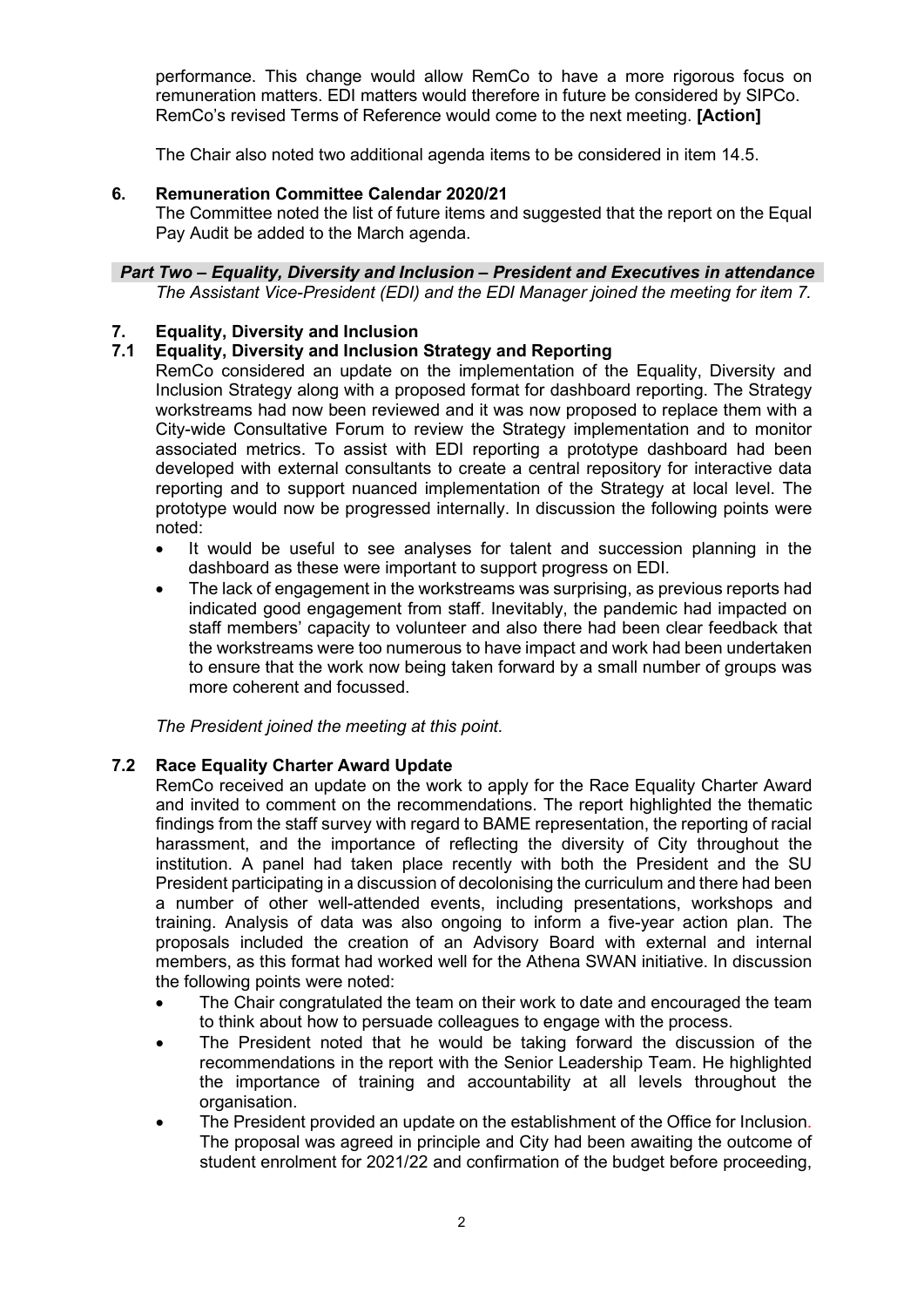performance. This change would allow RemCo to have a more rigorous focus on remuneration matters. EDI matters would therefore in future be considered by SIPCo. RemCo's revised Terms of Reference would come to the next meeting. **[Action]**

The Chair also noted two additional agenda items to be considered in item 14.5.

## **6. Remuneration Committee Calendar 2020/21**

The Committee noted the list of future items and suggested that the report on the Equal Pay Audit be added to the March agenda.

#### *Part Two – Equality, Diversity and Inclusion – President and Executives in attendance The Assistant Vice-President (EDI) and the EDI Manager joined the meeting for item 7.*

# **7. Equality, Diversity and Inclusion**

## **7.1 Equality, Diversity and Inclusion Strategy and Reporting**

RemCo considered an update on the implementation of the Equality, Diversity and Inclusion Strategy along with a proposed format for dashboard reporting. The Strategy workstreams had now been reviewed and it was now proposed to replace them with a City-wide Consultative Forum to review the Strategy implementation and to monitor associated metrics. To assist with EDI reporting a prototype dashboard had been developed with external consultants to create a central repository for interactive data reporting and to support nuanced implementation of the Strategy at local level. The prototype would now be progressed internally. In discussion the following points were noted:

- It would be useful to see analyses for talent and succession planning in the dashboard as these were important to support progress on EDI.
- The lack of engagement in the workstreams was surprising, as previous reports had indicated good engagement from staff. Inevitably, the pandemic had impacted on staff members' capacity to volunteer and also there had been clear feedback that the workstreams were too numerous to have impact and work had been undertaken to ensure that the work now being taken forward by a small number of groups was more coherent and focussed.

*The President joined the meeting at this point.*

## **7.2 Race Equality Charter Award Update**

RemCo received an update on the work to apply for the Race Equality Charter Award and invited to comment on the recommendations. The report highlighted the thematic findings from the staff survey with regard to BAME representation, the reporting of racial harassment, and the importance of reflecting the diversity of City throughout the institution. A panel had taken place recently with both the President and the SU President participating in a discussion of decolonising the curriculum and there had been a number of other well-attended events, including presentations, workshops and training. Analysis of data was also ongoing to inform a five-year action plan. The proposals included the creation of an Advisory Board with external and internal members, as this format had worked well for the Athena SWAN initiative. In discussion the following points were noted:

- The Chair congratulated the team on their work to date and encouraged the team to think about how to persuade colleagues to engage with the process.
- The President noted that he would be taking forward the discussion of the recommendations in the report with the Senior Leadership Team. He highlighted the importance of training and accountability at all levels throughout the organisation.
- The President provided an update on the establishment of the Office for Inclusion. The proposal was agreed in principle and City had been awaiting the outcome of student enrolment for 2021/22 and confirmation of the budget before proceeding,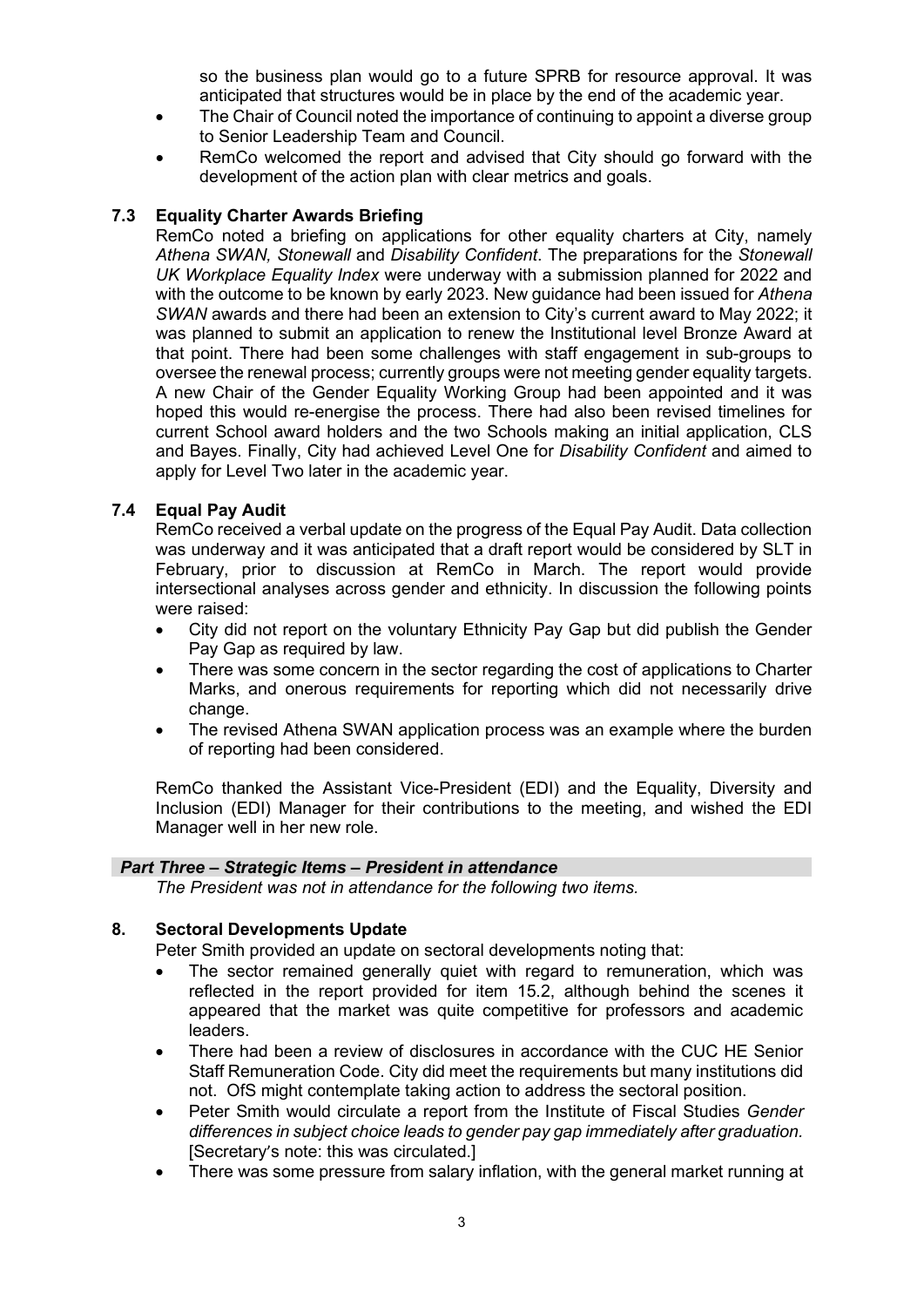so the business plan would go to a future SPRB for resource approval. It was anticipated that structures would be in place by the end of the academic year.

- The Chair of Council noted the importance of continuing to appoint a diverse group to Senior Leadership Team and Council.
- RemCo welcomed the report and advised that City should go forward with the development of the action plan with clear metrics and goals.

## **7.3 Equality Charter Awards Briefing**

RemCo noted a briefing on applications for other equality charters at City, namely *Athena SWAN, Stonewall* and *Disability Confident*. The preparations for the *Stonewall UK Workplace Equality Index* were underway with a submission planned for 2022 and with the outcome to be known by early 2023. New guidance had been issued for *Athena SWAN* awards and there had been an extension to City's current award to May 2022; it was planned to submit an application to renew the Institutional level Bronze Award at that point. There had been some challenges with staff engagement in sub-groups to oversee the renewal process; currently groups were not meeting gender equality targets. A new Chair of the Gender Equality Working Group had been appointed and it was hoped this would re-energise the process. There had also been revised timelines for current School award holders and the two Schools making an initial application, CLS and Bayes. Finally, City had achieved Level One for *Disability Confident* and aimed to apply for Level Two later in the academic year.

#### **7.4 Equal Pay Audit**

RemCo received a verbal update on the progress of the Equal Pay Audit. Data collection was underway and it was anticipated that a draft report would be considered by SLT in February, prior to discussion at RemCo in March. The report would provide intersectional analyses across gender and ethnicity. In discussion the following points were raised:

- City did not report on the voluntary Ethnicity Pay Gap but did publish the Gender Pay Gap as required by law.
- There was some concern in the sector regarding the cost of applications to Charter Marks, and onerous requirements for reporting which did not necessarily drive change.
- The revised Athena SWAN application process was an example where the burden of reporting had been considered.

RemCo thanked the Assistant Vice-President (EDI) and the Equality, Diversity and Inclusion (EDI) Manager for their contributions to the meeting, and wished the EDI Manager well in her new role.

#### *Part Three – Strategic Items – President in attendance*

*The President was not in attendance for the following two items.*

#### **8. Sectoral Developments Update**

Peter Smith provided an update on sectoral developments noting that:

- The sector remained generally quiet with regard to remuneration, which was reflected in the report provided for item 15.2, although behind the scenes it appeared that the market was quite competitive for professors and academic leaders.
- There had been a review of disclosures in accordance with the CUC HE Senior Staff Remuneration Code. City did meet the requirements but many institutions did not. OfS might contemplate taking action to address the sectoral position.
- Peter Smith would circulate a report from the Institute of Fiscal Studies *Gender differences in subject choice leads to gender pay gap immediately after graduation.*  [Secretary's note: this was circulated.]
- There was some pressure from salary inflation, with the general market running at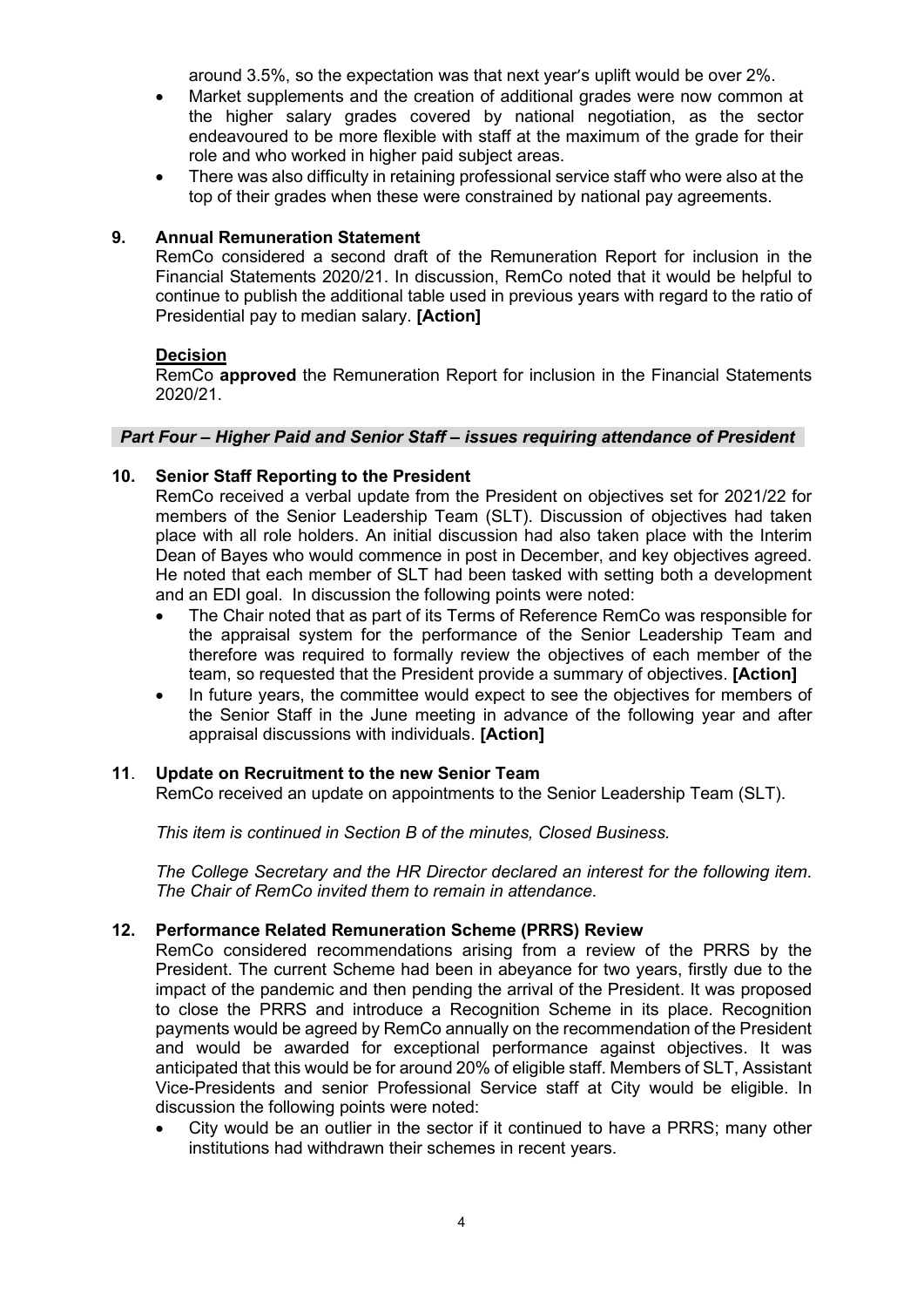around 3.5%, so the expectation was that next year's uplift would be over 2%.

- Market supplements and the creation of additional grades were now common at the higher salary grades covered by national negotiation, as the sector endeavoured to be more flexible with staff at the maximum of the grade for their role and who worked in higher paid subject areas.
- There was also difficulty in retaining professional service staff who were also at the top of their grades when these were constrained by national pay agreements.

## **9. Annual Remuneration Statement**

RemCo considered a second draft of the Remuneration Report for inclusion in the Financial Statements 2020/21. In discussion, RemCo noted that it would be helpful to continue to publish the additional table used in previous years with regard to the ratio of Presidential pay to median salary. **[Action]**

#### **Decision**

RemCo **approved** the Remuneration Report for inclusion in the Financial Statements 2020/21.

#### *Part Four – Higher Paid and Senior Staff – issues requiring attendance of President*

#### **10. Senior Staff Reporting to the President**

RemCo received a verbal update from the President on objectives set for 2021/22 for members of the Senior Leadership Team (SLT). Discussion of objectives had taken place with all role holders. An initial discussion had also taken place with the Interim Dean of Bayes who would commence in post in December, and key objectives agreed. He noted that each member of SLT had been tasked with setting both a development and an EDI goal. In discussion the following points were noted:

- The Chair noted that as part of its Terms of Reference RemCo was responsible for the appraisal system for the performance of the Senior Leadership Team and therefore was required to formally review the objectives of each member of the team, so requested that the President provide a summary of objectives. **[Action]**
- In future years, the committee would expect to see the objectives for members of the Senior Staff in the June meeting in advance of the following year and after appraisal discussions with individuals. **[Action]**

#### **11**. **Update on Recruitment to the new Senior Team**

RemCo received an update on appointments to the Senior Leadership Team (SLT).

*This item is continued in Section B of the minutes, Closed Business.* 

*The College Secretary and the HR Director declared an interest for the following item. The Chair of RemCo invited them to remain in attendance.* 

## **12. Performance Related Remuneration Scheme (PRRS) Review**

RemCo considered recommendations arising from a review of the PRRS by the President. The current Scheme had been in abeyance for two years, firstly due to the impact of the pandemic and then pending the arrival of the President. It was proposed to close the PRRS and introduce a Recognition Scheme in its place. Recognition payments would be agreed by RemCo annually on the recommendation of the President and would be awarded for exceptional performance against objectives. It was anticipated that this would be for around 20% of eligible staff. Members of SLT, Assistant Vice-Presidents and senior Professional Service staff at City would be eligible. In discussion the following points were noted:

• City would be an outlier in the sector if it continued to have a PRRS; many other institutions had withdrawn their schemes in recent years.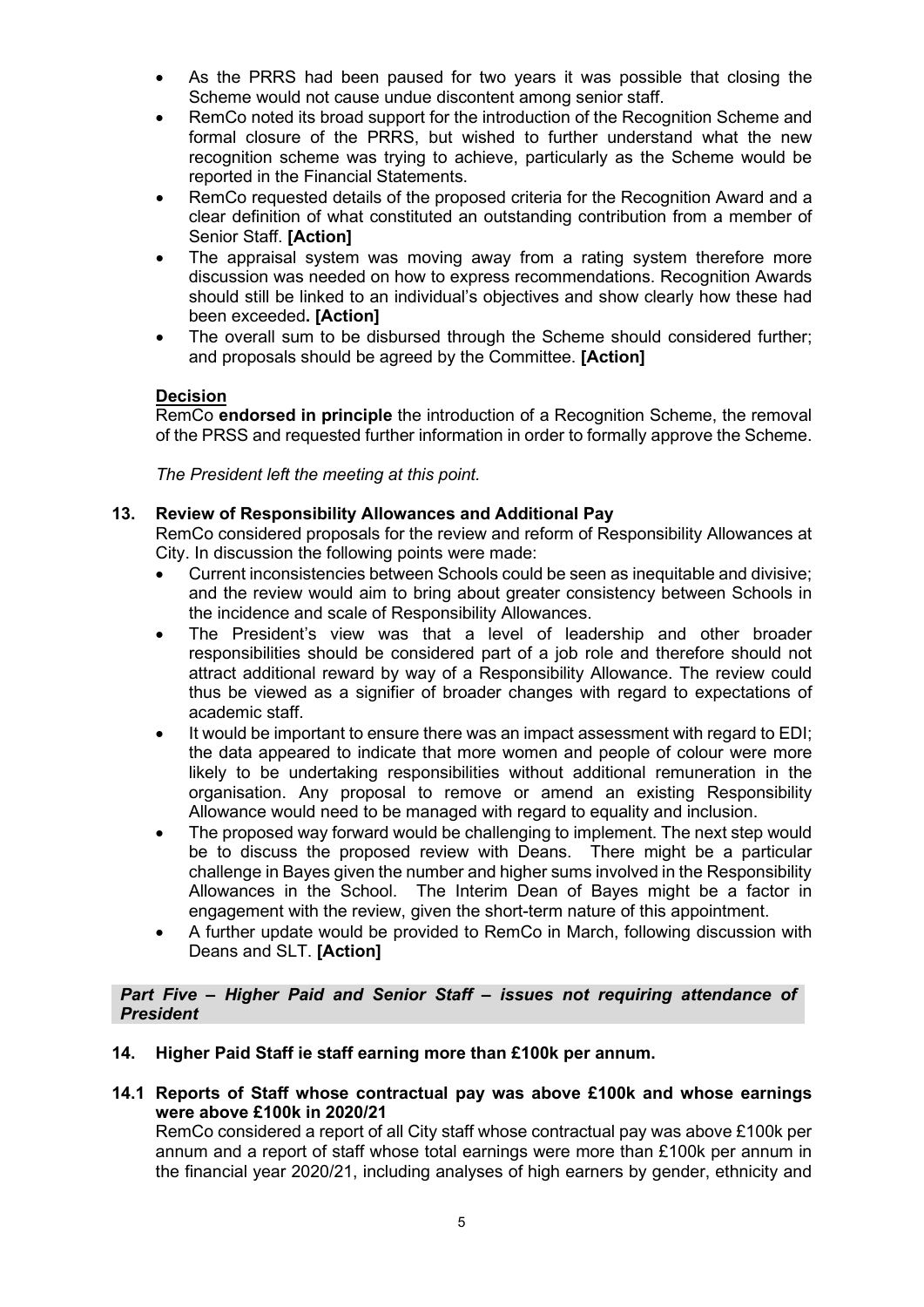- As the PRRS had been paused for two years it was possible that closing the Scheme would not cause undue discontent among senior staff.
- RemCo noted its broad support for the introduction of the Recognition Scheme and formal closure of the PRRS, but wished to further understand what the new recognition scheme was trying to achieve, particularly as the Scheme would be reported in the Financial Statements.
- RemCo requested details of the proposed criteria for the Recognition Award and a clear definition of what constituted an outstanding contribution from a member of Senior Staff. **[Action]**
- The appraisal system was moving away from a rating system therefore more discussion was needed on how to express recommendations. Recognition Awards should still be linked to an individual's objectives and show clearly how these had been exceeded**. [Action]**
- The overall sum to be disbursed through the Scheme should considered further; and proposals should be agreed by the Committee. **[Action]**

## **Decision**

RemCo **endorsed in principle** the introduction of a Recognition Scheme, the removal of the PRSS and requested further information in order to formally approve the Scheme.

*The President left the meeting at this point.* 

## **13. Review of Responsibility Allowances and Additional Pay**

RemCo considered proposals for the review and reform of Responsibility Allowances at City. In discussion the following points were made:

- Current inconsistencies between Schools could be seen as inequitable and divisive; and the review would aim to bring about greater consistency between Schools in the incidence and scale of Responsibility Allowances.
- The President's view was that a level of leadership and other broader responsibilities should be considered part of a job role and therefore should not attract additional reward by way of a Responsibility Allowance. The review could thus be viewed as a signifier of broader changes with regard to expectations of academic staff.
- It would be important to ensure there was an impact assessment with regard to EDI; the data appeared to indicate that more women and people of colour were more likely to be undertaking responsibilities without additional remuneration in the organisation. Any proposal to remove or amend an existing Responsibility Allowance would need to be managed with regard to equality and inclusion.
- The proposed way forward would be challenging to implement. The next step would be to discuss the proposed review with Deans. There might be a particular challenge in Bayes given the number and higher sums involved in the Responsibility Allowances in the School. The Interim Dean of Bayes might be a factor in engagement with the review, given the short-term nature of this appointment.
- A further update would be provided to RemCo in March, following discussion with Deans and SLT. **[Action]**

#### *Part Five – Higher Paid and Senior Staff – issues not requiring attendance of President*

- **14. Higher Paid Staff ie staff earning more than £100k per annum.**
- **14.1 Reports of Staff whose contractual pay was above £100k and whose earnings were above £100k in 2020/21**

RemCo considered a report of all City staff whose contractual pay was above £100k per annum and a report of staff whose total earnings were more than £100k per annum in the financial year 2020/21, including analyses of high earners by gender, ethnicity and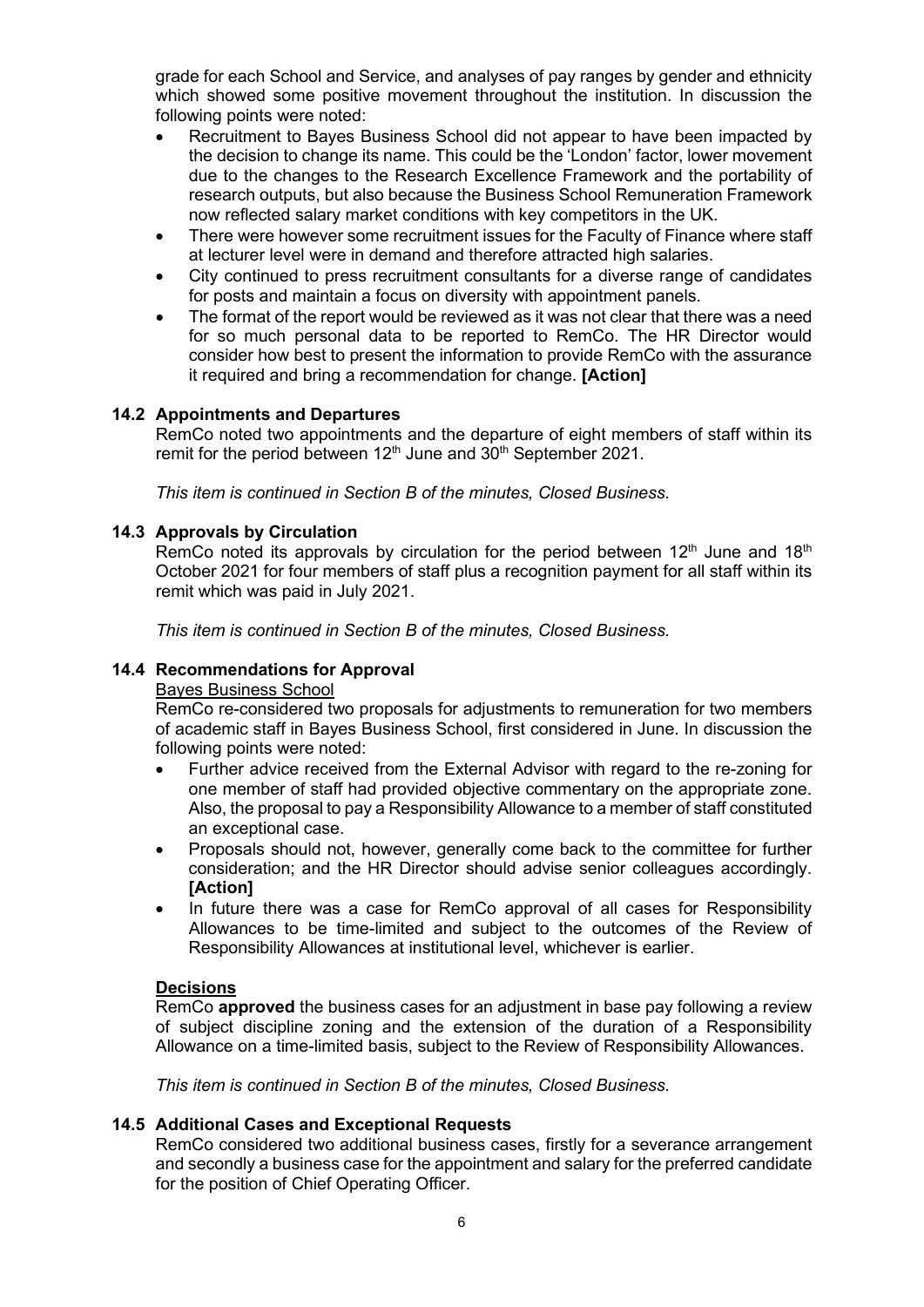grade for each School and Service, and analyses of pay ranges by gender and ethnicity which showed some positive movement throughout the institution. In discussion the following points were noted:

- Recruitment to Bayes Business School did not appear to have been impacted by the decision to change its name. This could be the 'London' factor, lower movement due to the changes to the Research Excellence Framework and the portability of research outputs, but also because the Business School Remuneration Framework now reflected salary market conditions with key competitors in the UK.
- There were however some recruitment issues for the Faculty of Finance where staff at lecturer level were in demand and therefore attracted high salaries.
- City continued to press recruitment consultants for a diverse range of candidates for posts and maintain a focus on diversity with appointment panels.
- The format of the report would be reviewed as it was not clear that there was a need for so much personal data to be reported to RemCo. The HR Director would consider how best to present the information to provide RemCo with the assurance it required and bring a recommendation for change. **[Action]**

#### **14.2 Appointments and Departures**

RemCo noted two appointments and the departure of eight members of staff within its remit for the period between 12<sup>th</sup> June and 30<sup>th</sup> September 2021.

*This item is continued in Section B of the minutes, Closed Business.* 

#### **14.3 Approvals by Circulation**

RemCo noted its approvals by circulation for the period between  $12<sup>th</sup>$  June and  $18<sup>th</sup>$ October 2021 for four members of staff plus a recognition payment for all staff within its remit which was paid in July 2021.

*This item is continued in Section B of the minutes, Closed Business.* 

#### **14.4 Recommendations for Approval**

## Bayes Business School

RemCo re-considered two proposals for adjustments to remuneration for two members of academic staff in Bayes Business School, first considered in June. In discussion the following points were noted:

- Further advice received from the External Advisor with regard to the re-zoning for one member of staff had provided objective commentary on the appropriate zone. Also, the proposal to pay a Responsibility Allowance to a member of staff constituted an exceptional case.
- Proposals should not, however, generally come back to the committee for further consideration; and the HR Director should advise senior colleagues accordingly. **[Action]**
- In future there was a case for RemCo approval of all cases for Responsibility Allowances to be time-limited and subject to the outcomes of the Review of Responsibility Allowances at institutional level, whichever is earlier.

#### **Decisions**

RemCo **approved** the business cases for an adjustment in base pay following a review of subject discipline zoning and the extension of the duration of a Responsibility Allowance on a time-limited basis, subject to the Review of Responsibility Allowances.

*This item is continued in Section B of the minutes, Closed Business.*

#### **14.5 Additional Cases and Exceptional Requests**

RemCo considered two additional business cases, firstly for a severance arrangement and secondly a business case for the appointment and salary for the preferred candidate for the position of Chief Operating Officer.